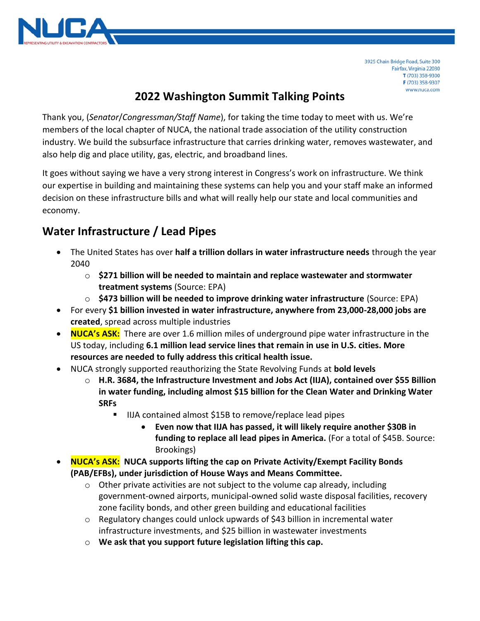

3925 Chain Bridge Road, Suite 300 Fairfax, Virginia 22030 T (703) 358-9300 F (703) 358-9307 www.nuca.com

## **2022 Washington Summit Talking Points**

Thank you, (*Senator*/*Congressman/Staff Name*), for taking the time today to meet with us. We're members of the local chapter of NUCA, the national trade association of the utility construction industry. We build the subsurface infrastructure that carries drinking water, removes wastewater, and also help dig and place utility, gas, electric, and broadband lines.

It goes without saying we have a very strong interest in Congress's work on infrastructure. We think our expertise in building and maintaining these systems can help you and your staff make an informed decision on these infrastructure bills and what will really help our state and local communities and economy.

# **Water Infrastructure / Lead Pipes**

- The United States has over **half a trillion dollars in water infrastructure needs** through the year 2040
	- o **\$271 billion will be needed to maintain and replace wastewater and stormwater treatment systems** (Source: EPA)
	- o **\$473 billion will be needed to improve drinking water infrastructure** (Source: EPA)
- For every **\$1 billion invested in water infrastructure, anywhere from 23,000-28,000 jobs are created**, spread across multiple industries
- **NUCA's ASK:** There are over 1.6 million miles of underground pipe water infrastructure in the US today, including **6.1 million lead service lines that remain in use in U.S. cities. More resources are needed to fully address this critical health issue.**
- NUCA strongly supported reauthorizing the State Revolving Funds at **bold levels**
	- o **H.R. 3684, the Infrastructure Investment and Jobs Act (IIJA), contained over \$55 Billion in water funding, including almost \$15 billion for the Clean Water and Drinking Water SRFs**
		- IIJA contained almost \$15B to remove/replace lead pipes
			- **Even now that IIJA has passed, it will likely require another \$30B in funding to replace all lead pipes in America.** (For a total of \$45B. Source: Brookings)
- **NUCA's ASK: NUCA supports lifting the cap on Private Activity/Exempt Facility Bonds (PAB/EFBs), under jurisdiction of House Ways and Means Committee.**
	- $\circ$  Other private activities are not subject to the volume cap already, including government-owned airports, municipal-owned solid waste disposal facilities, recovery zone facility bonds, and other green building and educational facilities
	- $\circ$  Regulatory changes could unlock upwards of \$43 billion in incremental water infrastructure investments, and \$25 billion in wastewater investments
	- o **We ask that you support future legislation lifting this cap.**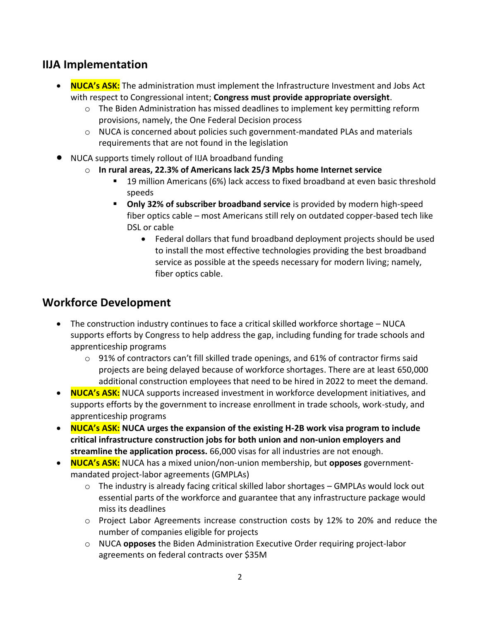### **IIJA Implementation**

- **NUCA's ASK:** The administration must implement the Infrastructure Investment and Jobs Act with respect to Congressional intent; **Congress must provide appropriate oversight**.
	- $\circ$  The Biden Administration has missed deadlines to implement key permitting reform provisions, namely, the One Federal Decision process
	- $\circ$  NUCA is concerned about policies such government-mandated PLAs and materials requirements that are not found in the legislation
- NUCA supports timely rollout of IIJA broadband funding
	- o **In rural areas, 22.3% of Americans lack 25/3 Mpbs home Internet service**
		- 19 million Americans (6%) lack access to fixed broadband at even basic threshold speeds
		- **Only 32% of subscriber broadband service** is provided by modern high-speed fiber optics cable – most Americans still rely on outdated copper-based tech like DSL or cable
			- Federal dollars that fund broadband deployment projects should be used to install the most effective technologies providing the best broadband service as possible at the speeds necessary for modern living; namely, fiber optics cable.

### **Workforce Development**

- The construction industry continues to face a critical skilled workforce shortage NUCA supports efforts by Congress to help address the gap, including funding for trade schools and apprenticeship programs
	- $\circ$  91% of contractors can't fill skilled trade openings, and 61% of contractor firms said projects are being delayed because of workforce shortages. There are at least 650,000 additional construction employees that need to be hired in 2022 to meet the demand.
- **NUCA's ASK:** NUCA supports increased investment in workforce development initiatives, and supports efforts by the government to increase enrollment in trade schools, work-study, and apprenticeship programs
- **NUCA's ASK: NUCA urges the expansion of the existing H-2B work visa program to include critical infrastructure construction jobs for both union and non-union employers and streamline the application process.** 66,000 visas for all industries are not enough.
- **NUCA's ASK:** NUCA has a mixed union/non-union membership, but **opposes** governmentmandated project-labor agreements (GMPLAs)
	- $\circ$  The industry is already facing critical skilled labor shortages GMPLAs would lock out essential parts of the workforce and guarantee that any infrastructure package would miss its deadlines
	- $\circ$  Project Labor Agreements increase construction costs by 12% to 20% and reduce the number of companies eligible for projects
	- o NUCA **opposes** the Biden Administration Executive Order requiring project-labor agreements on federal contracts over \$35M